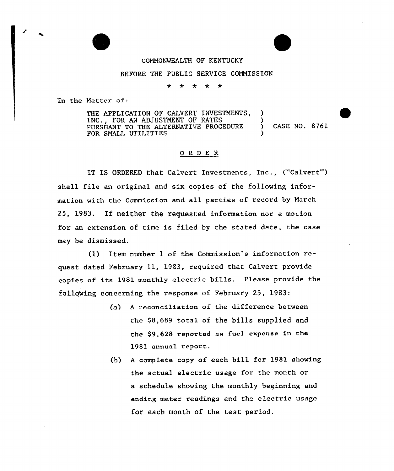COMMONWEALTH OF KENTUCKY

## BEFORE THE PUBLIC SERVICE COMMISSION

 $\pm$  $\star$ \* \* \*

In the Natter of:

THE APPLICATION OF CALVERT INVESTMENTS, INC., FOR AN ADJUSTMENT OF RATES PURSUANT TO THE ALTERNATIVE PROCEDURE ) CASE NO. 8761 FOR SMALL UTILITIES

## ORDER

IT IS ORDERED that Calvert Investments, Inc., ("Calvert") shall file an original and six copies of the following information with the Commission and a11 parties of record by March 25, 1983. If neither the requested information nor a motion for an extension of time is filed by the stated date, the case may be dismissed.

(1) Item number <sup>1</sup> of the Commission's information request dated February 11, 1983, required that Calvert provide copies of its 1981 monthLy electric bills. Please provide the folloking concerning the response of February 25, 1983:

- (a) <sup>A</sup> reconciliation of the difference between the \$8,689 total of the bills supplied and the \$9,628 reported as fuel expense in the 1981 annual report.
- (b) <sup>A</sup> complete copy of each hill for 1981 shoving the actual electric usage for the month or a schedule showing the monthly beginning and ending meter readings and the electric usage for each month of the test period.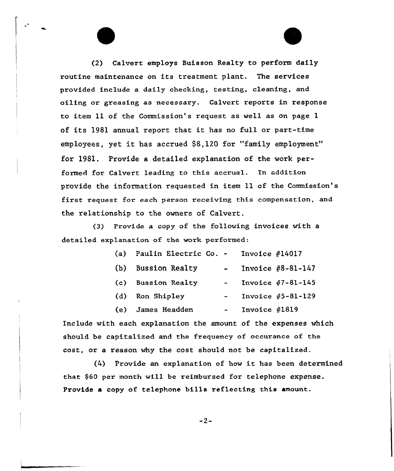(2) Calvert employs Buisson Realty to perform daily routine maintenance on its treatment plant. The services provided include a daily checking, testing, cleaning, and oiling or greasing as necessary. Calvert reports in response to item 11 of the Commission's request as well as on page 1 of its 1981 annual report that it has no full or part-time employees, yet it has accrued \$8,120 for "family employment" for 1981. Provide a detailed explanation of the work performed for Calvert leading to this accrual. In addition provide the information requested in item 11 of the Commission's first request for each pexson receiving this compensation, and the relationship to the owners of Calvert.

(3) Provide a copy of the following invoices with a detailed explanation of the work performed:

| (a) | Paulin Electric Co. - | Invoice $#14017$ |                         |
|-----|-----------------------|------------------|-------------------------|
| (b) | <b>Bussion Realty</b> |                  | Invoice $#8 - 81 - 147$ |
| (c) | <b>Bussion Realty</b> |                  | Invoice $#7 - 81 - 145$ |
| (d) | Ron Shipley           |                  | Invoice $#5 - 81 - 129$ |
| (e) | James Headden         | Invoice $#1819$  |                         |

Include with each explanation the amount of the expenses which should be capitalized and the frequency of occuranee of the cost, or a reason why the cost should not be capitalized.

(4) Provide an explanation of how it has been determined that \$60 pex month will be reimbursed for telephone expense. Provide a copy of telephone bills xeflecting this amount.

 $-2-$